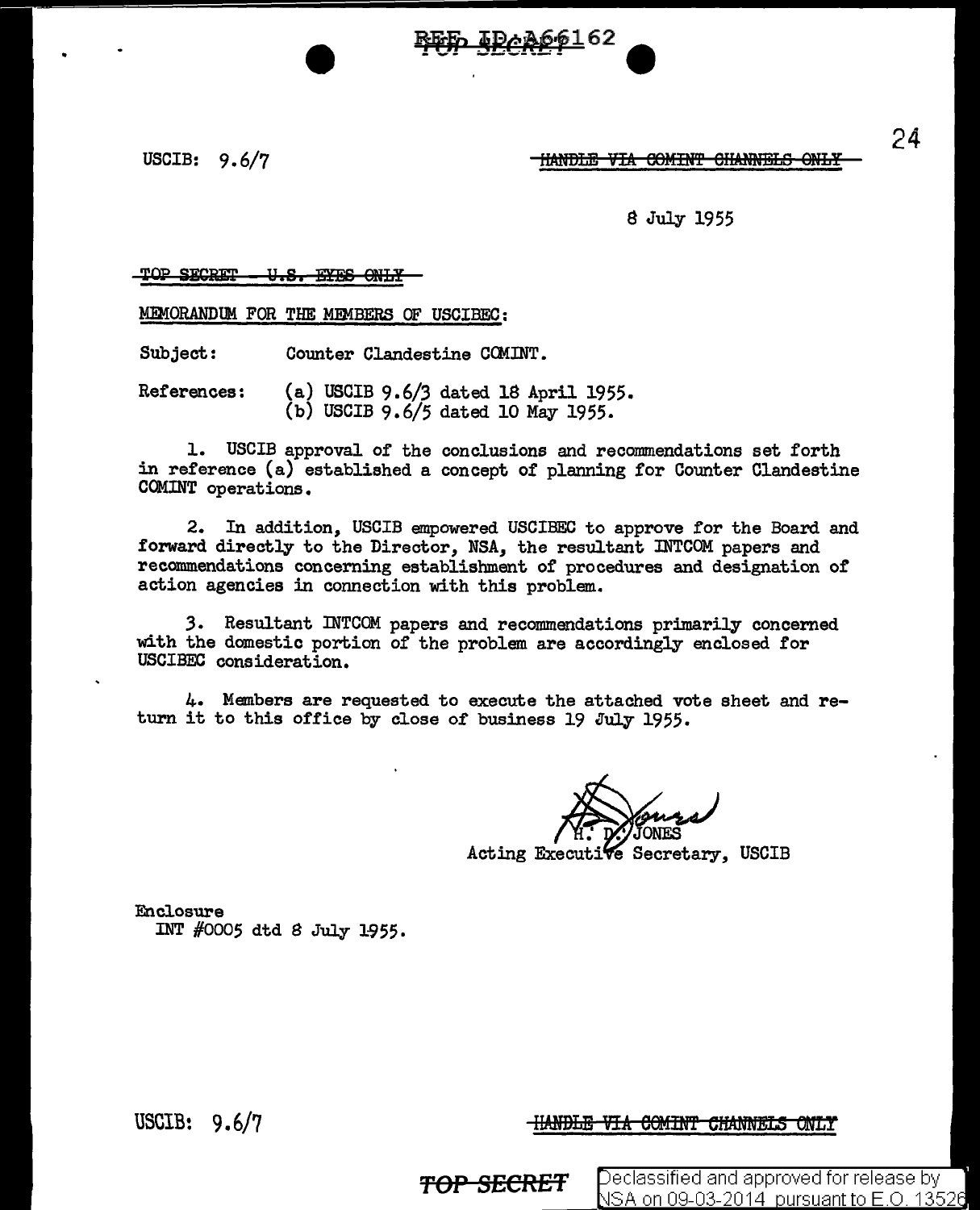USCIB: 9.6/7

HANDLE VIA COMINT CHANNELS ONLY

8 July 1955

TOP SECRET - U.S. EYES ONLY

MEMORANDUM FOR THE MEMBERS OF USCIBEC:

Subject: Counter Clandestine COMINT.

References: (a) USCIB 9.6/3 dated 18 April 1955. (b) USCIB 9.6/5 dated 10 May 1955.

1. USCIB approval of the conclusions and recommendations set forth in reference (a) established a concept of planning for Counter Clandestine COMINT operations.

<u> IDAA661</u>62

2. In addition, USCIB empowered USCIBEC to approve for the Board and forward directly to the Director, NSA, the resultant INTCOM papers and recommendations concerning establishment of procedures and designation of action agencies in connection with this problem.

*3.* Resultant INTCOM papers and recommendations primarily concerned with the domestic portion of the problem are accordingly enclosed for USCIBEC consideration.

4. Members are requested to execute the attached vote sheet and return it to this office by close of business 19 July 1955.

Acting Executive Secretary, USCIB

Enclosure INT  $#0005$  dtd 8 July 1955.

USCIB! 9. 6/7

**HANDLE VIA COMINT CHANNELS ONLY** 

**TOP SECRET** Peclassified and approved for release by NSA on 09-03-2014 pursuant to E.O. 13526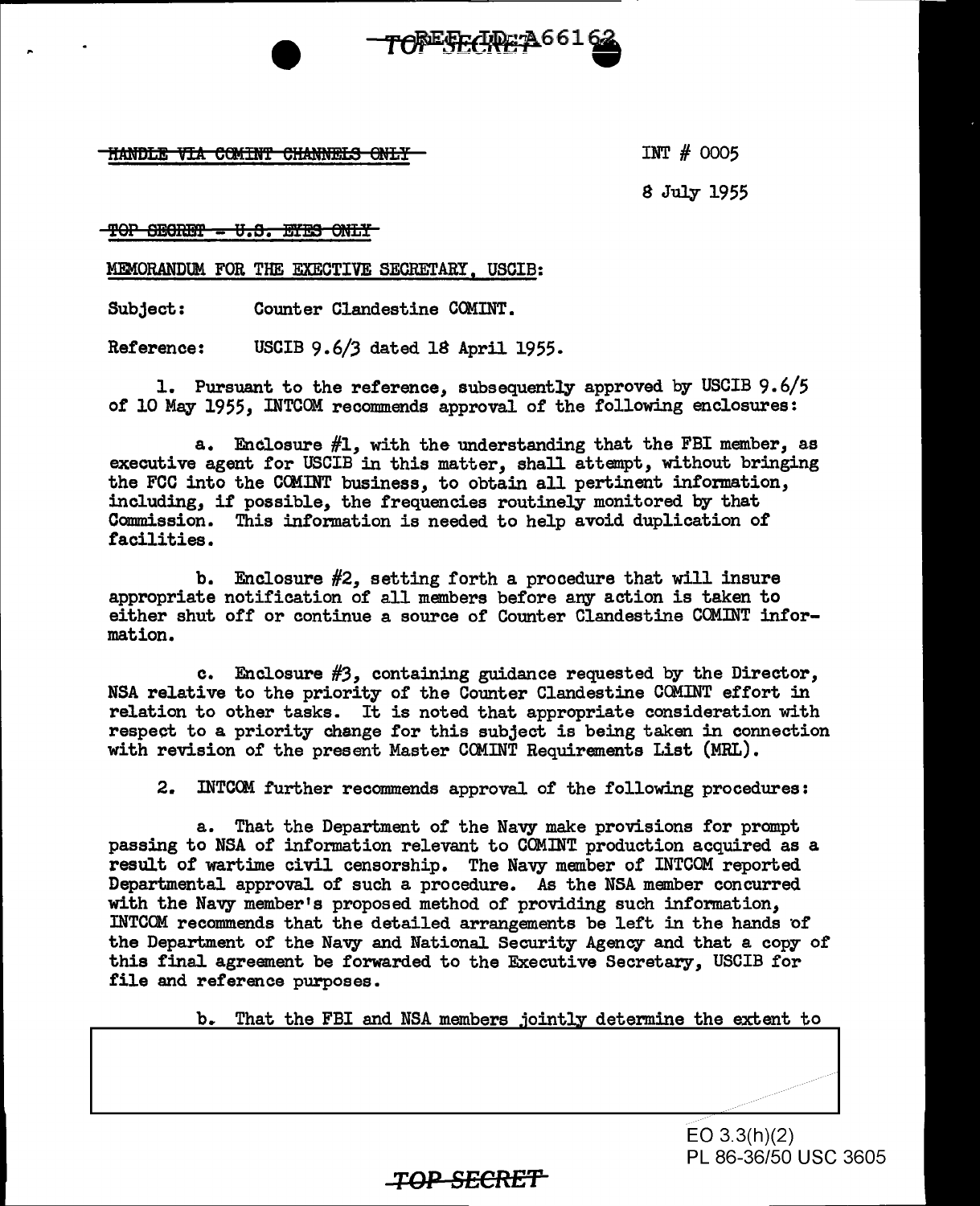**THANDLE VIA COMINT CHANNELS ONLY** 

INT # 0005

8 July 1955

TOP SECRET - U.S. EYES ONLY

MEMORANDUM FOR THE EXECTIVE SECRETARY, USCIB:

Subject: Counter Clandestine COMINT.

Reference: USCIB 9.6/3 dated 18 April 1955.

1. Pursuant to the reference, subsequently approved by USCIB 9.6/5 of 10 May 1955, INTCOM recommends approval of the following enclosures:

TOPESECREPA661

a. Enclosure  $#1$ , with the understanding that the FBI member, as executive agent for USCIB in this matter, shall attempt, without bringing the FCC into the COMINT business, to obtain all pertinent information, including, if possible, the frequencies routine]Jr monitored by that Commission. This information is needed to help avoid duplication of facilities.

b. Enclosure #2, setting forth a procedure that will insure appropriate notification of all members before any action is taken to either shut off or continue a source of Counter Clandestine COMINT information.

c. Enclosure *#3,* containing guidance requested by the Director, NSA relative to the priority of the Counter Clandestine COMINT effort in relation to other tasks. It is noted that appropriate consideration with respect to a priority change for this subject is being taken in connection with revision of the present Master COMINT Requirements List (MRL).

2. INTCCM further recommends approval of the following procedures:

a. That the Department of the Navy make provisions for prompt passing to NSA of information relevant to COMINT production acquired as a result of wartime civil censorship. The Navy member of INTCOM reported Departmental approval of such a procedure. As the NSA member concurred with the Navy member's proposed method of providing such information, INTCOM recommends that the detailed arrangements be left in the hands of the Department of the Navy and National Security Agency and that a copy of this final agreement be forwarded to the Executive Secretary, USCIB for file and reference purposes.

b. That the FBI and NSA members jointly determine the extent to

EO 3.3(h)(2) PL 86-36/50 USC 3605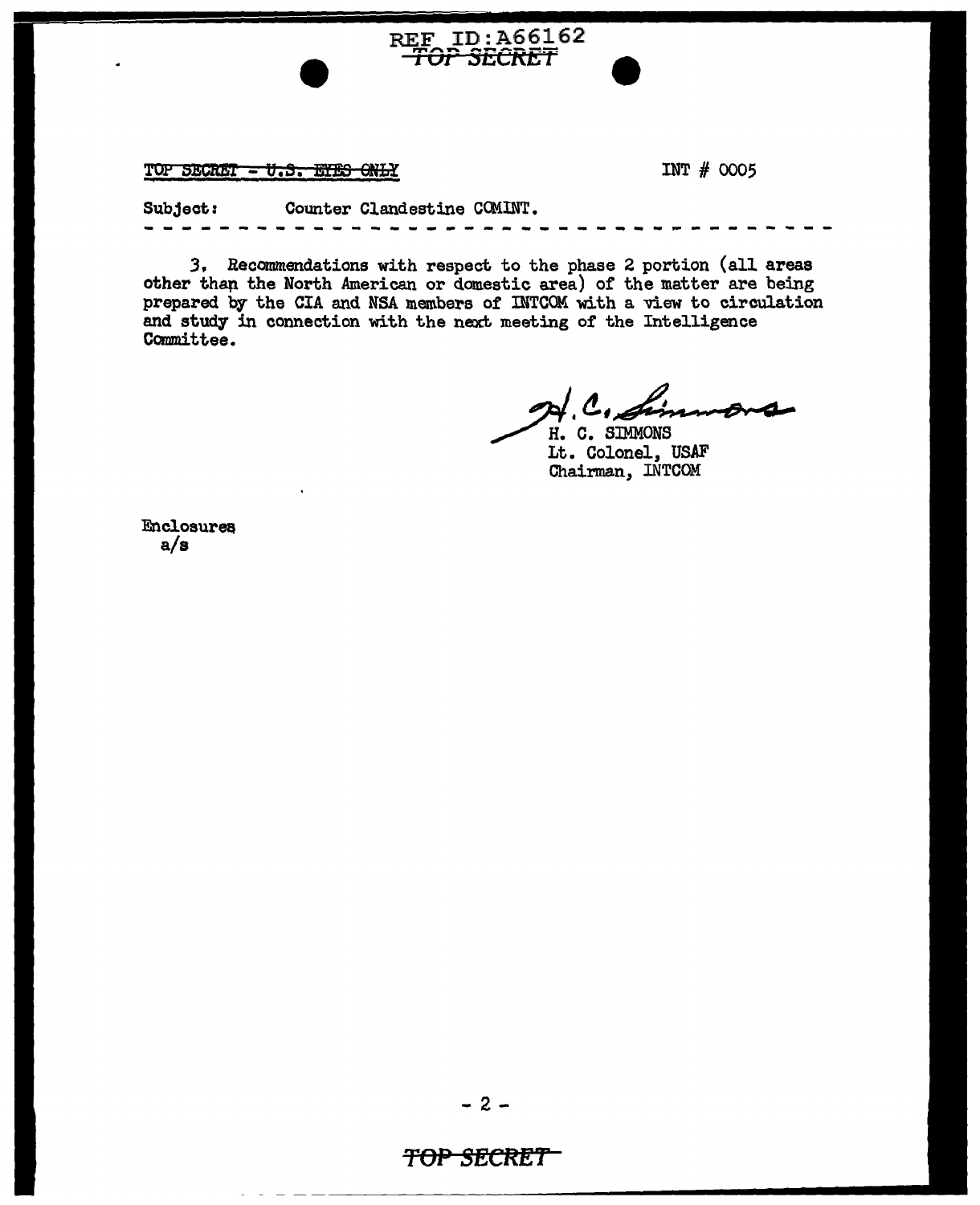TOP SECRET - U.S. ETES ONLY

INT # 0005

Subject: Counter Clandestine COMINT.

REF ID:A66162

3. Recommendations with respect to the phase 2 portion (all areas other than the North American or domestic area) of the matter are being prepared by the CIA and NSA members of INTCOM with a view to circulation and study in connection with the next meeting of the Intelligence Committee.

A. C. Sim

H. C. SIMMONS Lt. Colonel, USAF Chairman, INTCOM

**Enclosures**  $a/s$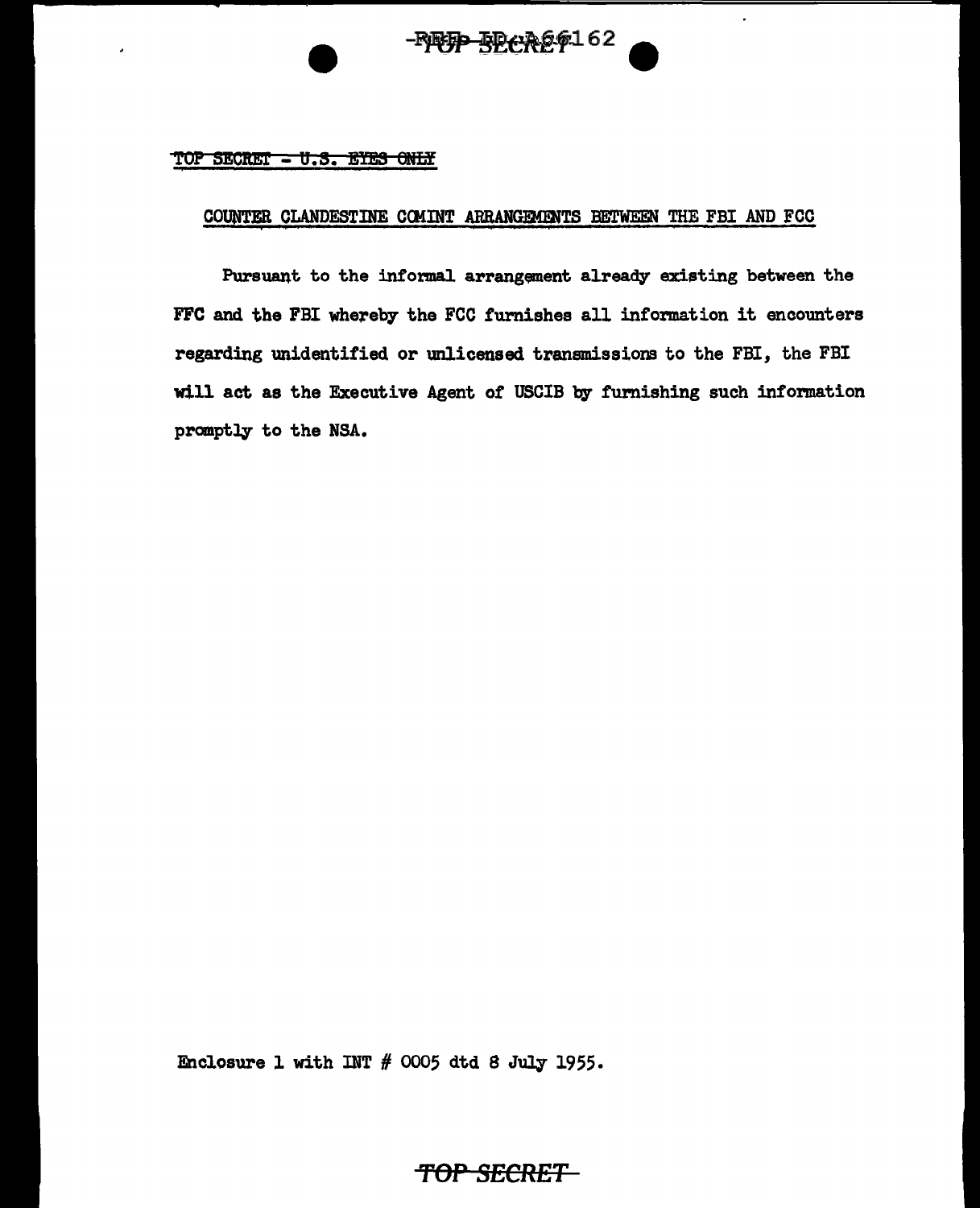# $-$ **PFFP** $-$ **SECREF**162

#### $TOP$  SECRET  $-$  U.S. EYES ONLY

### COUNTER CLANDESTINE COMINT ARRANGEMENTS BETWEEN THE FBI AND FCC

Pursuant to the informal arrangement already existing between the FFC and the FBI whereby the FCC furnishes all information it encounters regarding unidentified or unlicensed transmissions to the FBI, the FBI will act as the Executive Agent of USCIB by furnishing such information promptly to the NSA.

Enclosure l with INT # 0005 dtd S July 1955.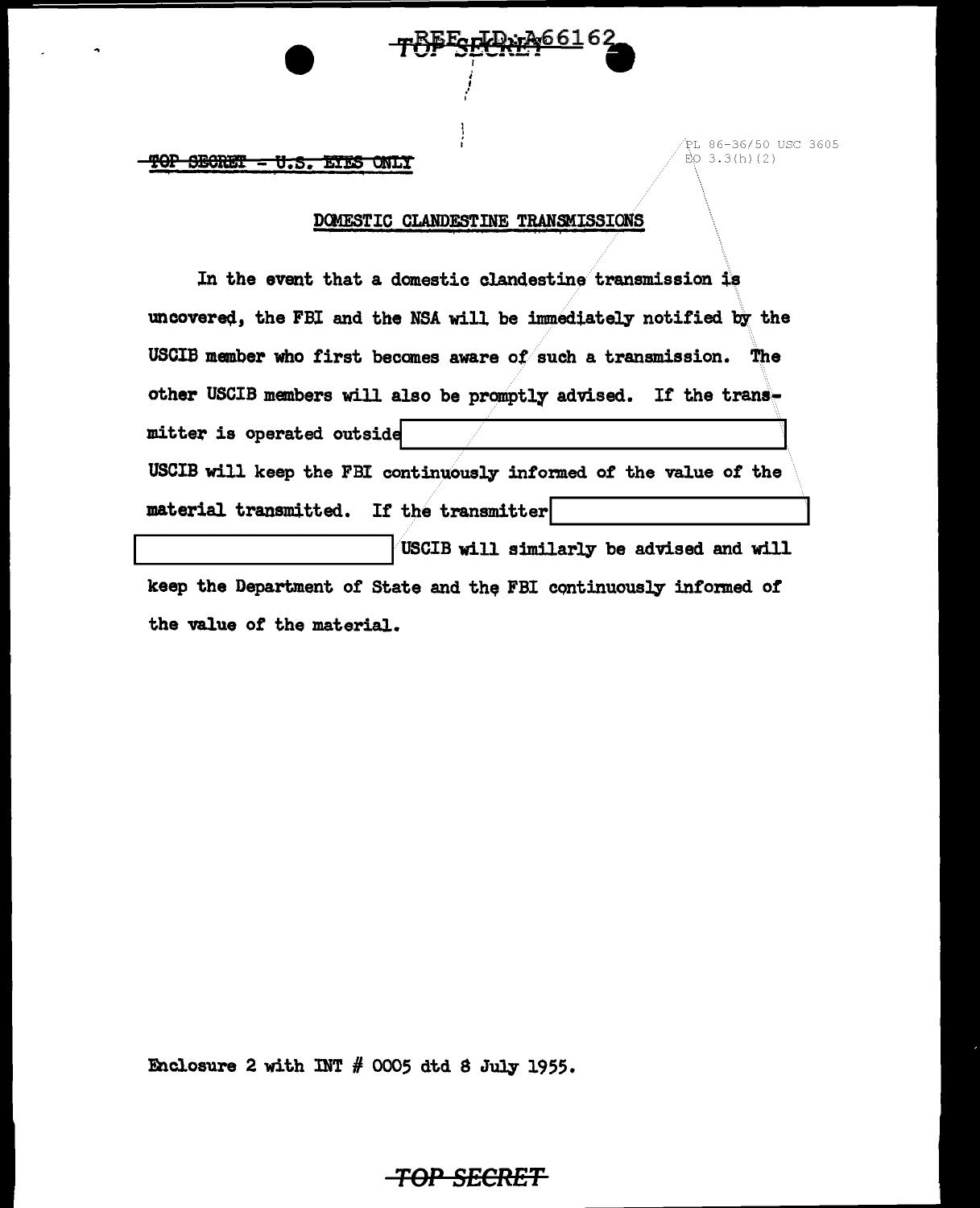TOP SECRET - U.S. EYES ONLY

PL 86-36/50 USC 3605  $\dot{E}O(3.3(h)/2)$ 

#### DOMESTIC CLANDESTINE TRANSMISSIONS

Ecul 1: 26616

In the event that a domestic clandestine transmission is uncovered, the FBI and the NSA will be immediately notified by the USCIB member who first becomes aware of such a transmission. The other USCIB members will also be promptly advised. If the transmitter is operated outside USCIB will keep the FBI continuously informed of the value of the material transmitted. If the transmitter USCIB will similarly be advised and will keep the Department of State and the FBI continuously informed of the value of the material.

Enclosure 2 with INT  $#$  0005 dtd 8 July 1955.

### <del>TOP SECRET</del>